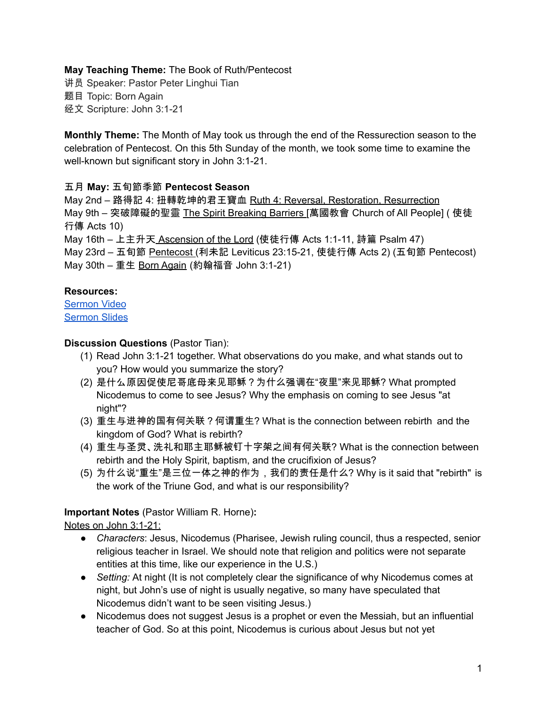# **May Teaching Theme:** The Book of Ruth/Pentecost

讲员 Speaker: Pastor Peter Linghui Tian 题目 Topic: Born Again

经文 Scripture: John 3:1-21

**Monthly Theme:** The Month of May took us through the end of the Ressurection season to the celebration of Pentecost. On this 5th Sunday of the month, we took some time to examine the well-known but significant story in John 3:1-21.

# 五月 **May:** 五旬節季節 **Pentecost Season**

May 2nd – 路得記 4: 扭轉乾坤的君王寶血 Ruth 4: Reversal, Restoration, Resurrection May 9th – 突破障礙的聖靈 The Spirit Breaking Barriers [萬國教會 Church of All People] ( 使徒 行傳 Acts 10)

May 16th – 上主升天 Ascension of the Lord (使徒行傳 Acts 1:1-11, 詩篇 Psalm 47) May 23rd – 五旬節 Pentecost (利未記 Leviticus 23:15-21, 使徒行傳 Acts 2) (五旬節 Pentecost) May 30th – 重生 Born Again (約翰福音 John 3:1-21)

# **Resources:**

[Sermon](https://www.youtube.com/watch?v=cYg3Ur43Fi4) Video [Sermon](http://www.lcccky.org/CellGroup/Meetings/%E8%80%B6%E7%A8%A3%E4%B8%8E%E5%B0%BC%E5%93%A5%E5%BA%95%E6%AF%8D%E8%B0%88%E9%87%8D%E7%94%9F.pdf) Slides

# **Discussion Questions** (Pastor Tian):

- (1) Read John 3:1-21 together. What observations do you make, and what stands out to you? How would you summarize the story?
- (2) 是什么原因促使尼哥底母来见耶稣?为什么强调在"夜里"来见耶稣? What prompted Nicodemus to come to see Jesus? Why the emphasis on coming to see Jesus "at night"?
- (3) 重生与进神的国有何关联?何谓重生? What is the connection between rebirth and the kingdom of God? What is rebirth?
- (4) 重生与圣灵、洗礼和耶主耶稣被钉十字架之间有何关联? What is the connection between rebirth and the Holy Spirit, baptism, and the crucifixion of Jesus?
- (5) 为什么说"重生"是三位一体之神的作为,我们的责任是什么? Why is it said that "rebirth" is the work of the Triune God, and what is our responsibility?

# **Important Notes** (Pastor William R. Horne)**:**

Notes on John 3:1-21:

- *Characters*: Jesus, Nicodemus (Pharisee, Jewish ruling council, thus a respected, senior religious teacher in Israel. We should note that religion and politics were not separate entities at this time, like our experience in the U.S.)
- *Setting:* At night (It is not completely clear the significance of why Nicodemus comes at night, but John's use of night is usually negative, so many have speculated that Nicodemus didn't want to be seen visiting Jesus.)
- Nicodemus does not suggest Jesus is a prophet or even the Messiah, but an influential teacher of God. So at this point, Nicodemus is curious about Jesus but not yet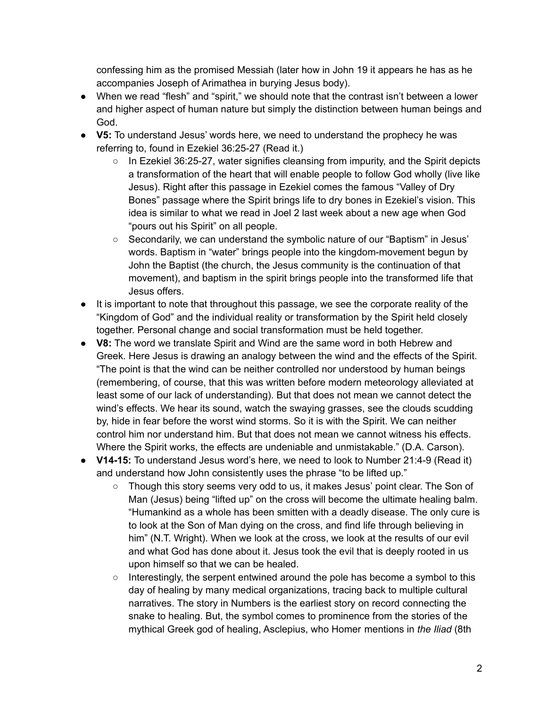confessing him as the promised Messiah (later how in John 19 it appears he has as he accompanies Joseph of Arimathea in burying Jesus body).

- When we read "flesh" and "spirit," we should note that the contrast isn't between a lower and higher aspect of human nature but simply the distinction between human beings and God.
- **● V5:** To understand Jesus' words here, we need to understand the prophecy he was referring to, found in Ezekiel 36:25-27 (Read it.)
	- **○** In Ezekiel 36:25-27, water signifies cleansing from impurity, and the Spirit depicts a transformation of the heart that will enable people to follow God wholly (live like Jesus). Right after this passage in Ezekiel comes the famous "Valley of Dry Bones" passage where the Spirit brings life to dry bones in Ezekiel's vision. This idea is similar to what we read in Joel 2 last week about a new age when God "pours out his Spirit" on all people.
	- **○** Secondarily, we can understand the symbolic nature of our "Baptism" in Jesus' words. Baptism in "water" brings people into the kingdom-movement begun by John the Baptist (the church, the Jesus community is the continuation of that movement), and baptism in the spirit brings people into the transformed life that Jesus offers.
- It is important to note that throughout this passage, we see the corporate reality of the "Kingdom of God" and the individual reality or transformation by the Spirit held closely together. Personal change and social transformation must be held together.
- **V8:** The word we translate Spirit and Wind are the same word in both Hebrew and Greek. Here Jesus is drawing an analogy between the wind and the effects of the Spirit. "The point is that the wind can be neither controlled nor understood by human beings (remembering, of course, that this was written before modern meteorology alleviated at least some of our lack of understanding). But that does not mean we cannot detect the wind's effects. We hear its sound, watch the swaying grasses, see the clouds scudding by, hide in fear before the worst wind storms. So it is with the Spirit. We can neither control him nor understand him. But that does not mean we cannot witness his effects. Where the Spirit works, the effects are undeniable and unmistakable." (D.A. Carson).
- **● V14-15:** To understand Jesus word's here, we need to look to Number 21:4-9 (Read it) and understand how John consistently uses the phrase "to be lifted up."
	- **○** Though this story seems very odd to us, it makes Jesus' point clear. The Son of Man (Jesus) being "lifted up" on the cross will become the ultimate healing balm. "Humankind as a whole has been smitten with a deadly disease. The only cure is to look at the Son of Man dying on the cross, and find life through believing in him" (N.T. Wright). When we look at the cross, we look at the results of our evil and what God has done about it. Jesus took the evil that is deeply rooted in us upon himself so that we can be healed.
	- $\circ$  Interestingly, the serpent entwined around the pole has become a symbol to this day of healing by many medical organizations, tracing back to multiple cultural narratives. The story in Numbers is the earliest story on record connecting the snake to healing. But, the symbol comes to prominence from the stories of the mythical Greek god of healing, Asclepius, who Homer mentions in *the Iliad* (8th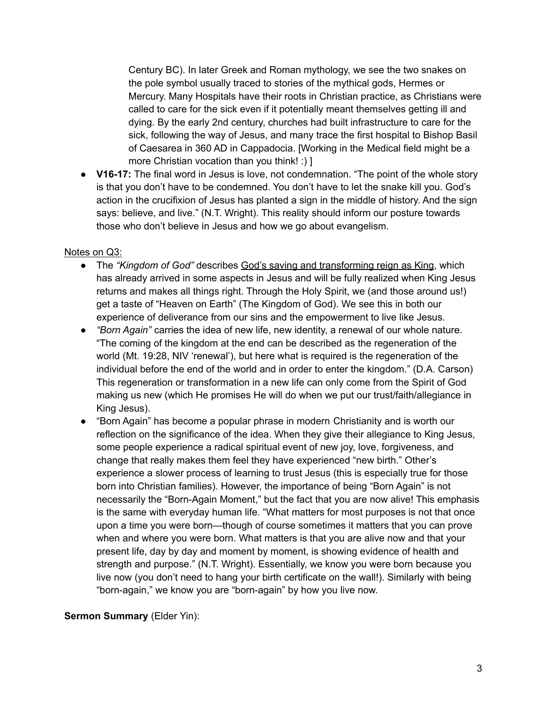Century BC). In later Greek and Roman mythology, we see the two snakes on the pole symbol usually traced to stories of the mythical gods, Hermes or Mercury. Many Hospitals have their roots in Christian practice, as Christians were called to care for the sick even if it potentially meant themselves getting ill and dying. By the early 2nd century, churches had built infrastructure to care for the sick, following the way of Jesus, and many trace the first hospital to Bishop Basil of Caesarea in 360 AD in Cappadocia. [Working in the Medical field might be a more Christian vocation than you think! :) ]

**● V16-17:** The final word in Jesus is love, not condemnation. "The point of the whole story is that you don't have to be condemned. You don't have to let the snake kill you. God's action in the crucifixion of Jesus has planted a sign in the middle of history. And the sign says: believe, and live." (N.T. Wright). This reality should inform our posture towards those who don't believe in Jesus and how we go about evangelism.

#### Notes on Q3:

- The *"Kingdom of God"* describes God's saving and transforming reign as King, which has already arrived in some aspects in Jesus and will be fully realized when King Jesus returns and makes all things right. Through the Holy Spirit, we (and those around us!) get a taste of "Heaven on Earth" (The Kingdom of God). We see this in both our experience of deliverance from our sins and the empowerment to live like Jesus.
- *"Born Again"* carries the idea of new life, new identity, a renewal of our whole nature. "The coming of the kingdom at the end can be described as the regeneration of the world (Mt. 19:28, NIV 'renewal'), but here what is required is the regeneration of the individual before the end of the world and in order to enter the kingdom." (D.A. Carson) This regeneration or transformation in a new life can only come from the Spirit of God making us new (which He promises He will do when we put our trust/faith/allegiance in King Jesus).
- "Born Again" has become a popular phrase in modern Christianity and is worth our reflection on the significance of the idea. When they give their allegiance to King Jesus, some people experience a radical spiritual event of new joy, love, forgiveness, and change that really makes them feel they have experienced "new birth." Other's experience a slower process of learning to trust Jesus (this is especially true for those born into Christian families). However, the importance of being "Born Again" is not necessarily the "Born-Again Moment," but the fact that you are now alive! This emphasis is the same with everyday human life. "What matters for most purposes is not that once upon a time you were born—though of course sometimes it matters that you can prove when and where you were born. What matters is that you are alive now and that your present life, day by day and moment by moment, is showing evidence of health and strength and purpose." (N.T. Wright). Essentially, we know you were born because you live now (you don't need to hang your birth certificate on the wall!). Similarly with being "born-again," we know you are "born-again" by how you live now.

### **Sermon Summary** (Elder Yin):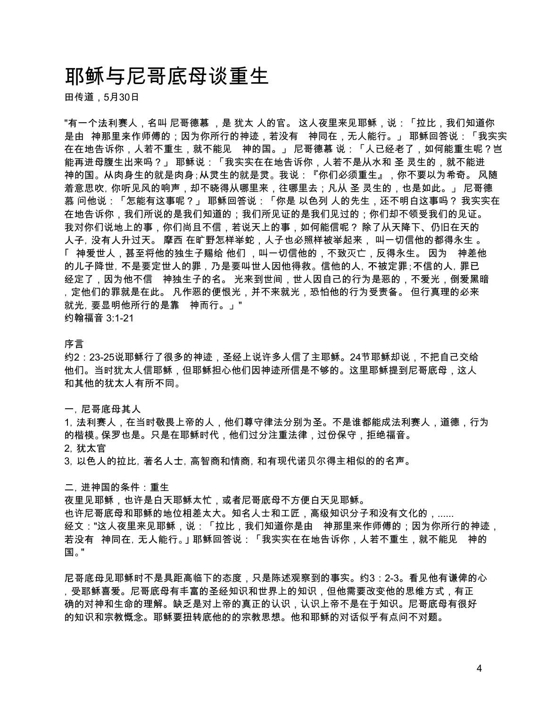# 耶稣与尼哥底母谈重生

田传道,5月30日

"有一个法利赛人,名叫 尼哥德慕 ,是 犹太 人的官。 这人夜里来见耶稣,说:「拉比,我们知道你 是由 神那里来作师傅的;因为你所行的神迹,若没有 神同在,无人能行。」 耶稣回答说:「我实实 在在地告诉你,人若不重生,就不能见 神的国。」 尼哥德慕 说:「人已经老了,如何能重生呢?岂 能再进母腹生出来吗?」 耶稣说:「我实实在在地告诉你,人若不是从水和 圣 灵生的,就不能进 神的国。从肉身生的就是肉身;从灵生的就是灵。我说:『你们必须重生』,你不要以为希奇。 风随 着意思吹,你听见风的响声,却不晓得从哪里来,往哪里去;凡从 圣 灵生的,也是如此。」 尼哥德 慕 问他说:「怎能有这事呢?」 耶稣回答说:「你是 以色列 人的先生,还不明白这事吗? 我实实在 在地告诉你,我们所说的是我们所见证的是我们见过的;你们却不领受我们的见证。 我对你们说地上的事,你们尚且不信,若说天上的事,如何能信呢? 除了从天降下、仍旧在天的 人子,没有人升过天。 摩西 在旷野怎样举蛇,人子也必照样被举起来, 叫一切信他的都得永生 。 「 神爱世人,甚至将他的独生子赐给 他们 ,叫一切信他的,不致灭亡,反得永生。 因为 神差他 的儿子降世,不是要定世人的罪,乃是要叫世人因他得救。信他的人,不被定罪;不信的人,罪已 经定了,因为他不信 神独生子的名。 光来到世间,世人因自己的行为是恶的,不爱光,倒爱黑暗 ,定他们的罪就是在此。 凡作恶的便恨光,并不来就光,恐怕他的行为受责备。 但行真理的必来 就光,要显明他所行的是靠 神而行。」" 约翰福音 3:1-21

序言

约2:23-25说耶稣行了很多的神迹,圣经上说许多人信了主耶稣。24节耶稣却说,不把自己交给 他们。当时犹太人信耶稣,但耶稣担心他们因神迹所信是不够的。这里耶稣提到尼哥底母,这人 和其他的犹太人有所不同。

一,尼哥底母其人

1,法利赛人,在当时敬畏上帝的人,他们尊守律法分别为圣。不是谁都能成法利赛人,道德,行为 的楷模。保罗也是。只是在耶稣时代,他们过分注重法律,过份保守,拒绝福音。

2,犹太官

3,以色人的拉比,著名人士,高智商和情商,和有现代诺贝尔得主相似的的名声。

二,进神国的条件:重生

夜里见耶稣,也许是白天耶稣太忙,或者尼哥底母不方便白天见耶稣。

也许尼哥底母和耶稣的地位相差太大。知名人士和工匠,高级知识分子和没有文化的,...... 经文:"这人夜里来见耶稣,说:「拉比,我们知道你是由,神那里来作师傅的;因为你所行的神迹, 若没有 神同在,无人能行。」 耶稣回答说:「我实实在在地告诉你,人若不重生,就不能见 神的 国。"

尼哥底母见耶稣时不是具距高临下的态度,只是陈述观察到的事实。约3:2-3。看见他有谦俾的心 ,受耶稣喜爱。尼哥底母有丰富的圣经知识和世界上的知识,但他需要改变他的思维方式,有正 确的对神和生命的理解。缺乏是对上帝的真正的认识,认识上帝不是在于知识。尼哥底母有很好 的知识和宗教慨念。耶稣要扭转底他的的宗教思想。他和耶稣的对话似乎有点问不对题。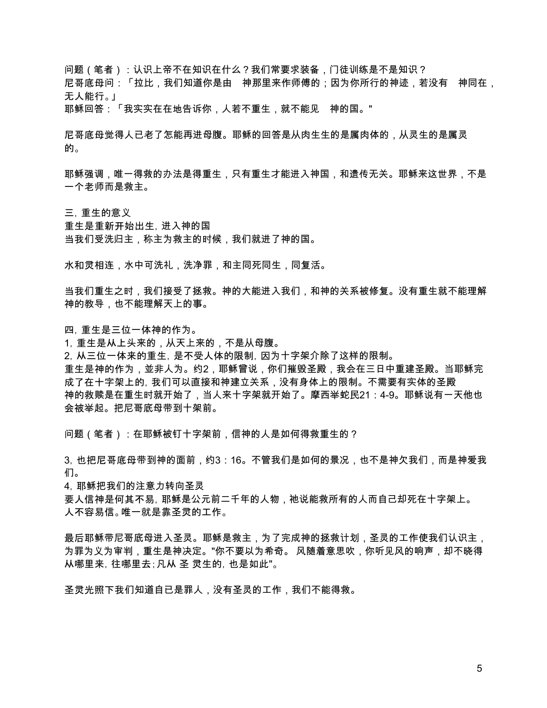问题(笔者):认识上帝不在知识在什么?我们常要求装备,门徒训练是不是知识? 尼哥底母问:「拉比,我们知道你是由 神那里来作师傅的;因为你所行的神迹,若没有 神同在, 无人能行。」

耶稣回答:「我实实在在地告诉你,人若不重生,就不能见 神的国。"

尼哥底母觉得人已老了怎能再进母腹。耶稣的回答是从肉生生的是属肉体的,从灵生的是属灵 的。

耶稣强调,唯一得救的办法是得重生,只有重生才能进入神国,和遗传无关。耶稣来这世界,不是 一个老师而是救主。

三,重生的意义

重生是重新开始出生,进入神的国 当我们受洗归主,称主为救主的时候,我们就进了神的国。

水和灵相连,水中可洗礼,洗净罪,和主同死同生,同复活。

当我们重生之时,我们接受了拯救。神的大能进入我们,和神的关系被修复。没有重生就不能理解 神的教导,也不能理解天上的事。

四,重生是三位一体神的作为。

1,重生是从上头来的,从天上来的,不是从母腹。

2,从三位一体来的重生,是不受人体的限制,因为十字架介除了这样的限制。

重生是神的作为,並非人为。约2,耶稣曾说,你们摧毁圣殿,我会在三日中重建圣殿。当耶稣完 成了在十字架上的,我们可以直接和神建立关系,没有身体上的限制。不需要有实体的圣殿 神的救赎是在重生时就开始了,当人来十字架就开始了。摩西举蛇民21:4-9。耶稣说有一天他也 会被举起。把尼哥底母带到十架前。

问题(笔者):在耶稣被钉十字架前,信神的人是如何得救重生的?

3,也把尼哥底母带到神的面前,约3:16。不管我们是如何的景况,也不是神欠我们,而是神爱我 们。

4,耶稣把我们的注意力转向圣灵

要人信神是何其不易,耶稣是公元前二千年的人物,祂说能救所有的人而自己却死在十字架上。 人不容易信。唯一就是靠圣灵的工作。

最后耶稣带尼哥底母进入圣灵。耶稣是救主,为了完成神的拯救计划,圣灵的工作使我们认识主, 为罪为义为审判,重生是神决定。"你不要以为希奇。 风随着意思吹,你听见风的响声,却不晓得 从哪里来,往哪里去;凡从 圣 灵生的,也是如此"。

圣灵光照下我们知道自已是罪人,没有圣灵的工作,我们不能得救。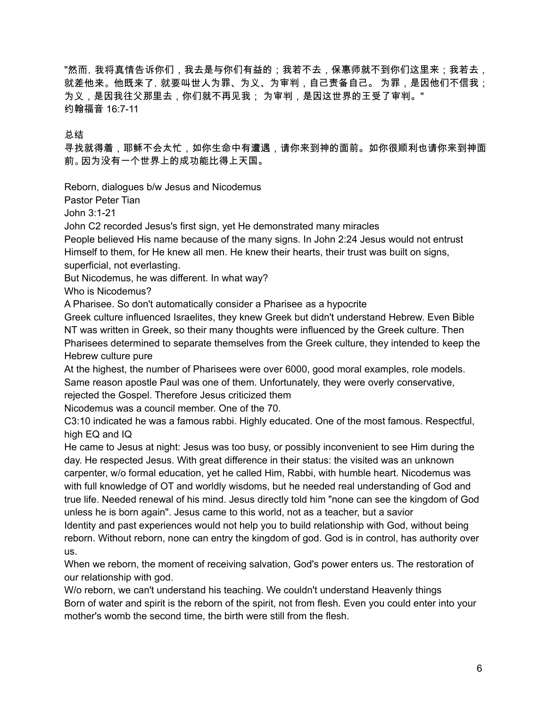"然而, 我将真情告诉你们,我去是与你们有益的;我若不去,保惠师就不到你们这里来;我若去, 就差他来。 他既来了,就要叫世人为罪、为义、为审判,自己责备自己。 为罪,是因他们不信我; 为义,是因我往父那里去,你们就不再见我; 为审判,是因这世界的王受了审判。" 约翰福音 16:7-11

总结

寻找就得着,耶稣不会太忙,如你生命中有遭遇,请你来到神的面前。如你很顺利也请你来到神面 前。因为没有一个世界上的成功能比得上天国。

Reborn, dialogues b/w Jesus and Nicodemus

Pastor Peter Tian

John 3:1-21

John C2 recorded Jesus's first sign, yet He demonstrated many miracles

People believed His name because of the many signs. In John 2:24 Jesus would not entrust Himself to them, for He knew all men. He knew their hearts, their trust was built on signs, superficial, not everlasting.

But Nicodemus, he was different. In what way?

Who is Nicodemus?

A Pharisee. So don't automatically consider a Pharisee as a hypocrite

Greek culture influenced Israelites, they knew Greek but didn't understand Hebrew. Even Bible NT was written in Greek, so their many thoughts were influenced by the Greek culture. Then Pharisees determined to separate themselves from the Greek culture, they intended to keep the Hebrew culture pure

At the highest, the number of Pharisees were over 6000, good moral examples, role models. Same reason apostle Paul was one of them. Unfortunately, they were overly conservative, rejected the Gospel. Therefore Jesus criticized them

Nicodemus was a council member. One of the 70.

C3:10 indicated he was a famous rabbi. Highly educated. One of the most famous. Respectful, high EQ and IQ

He came to Jesus at night: Jesus was too busy, or possibly inconvenient to see Him during the day. He respected Jesus. With great difference in their status: the visited was an unknown carpenter, w/o formal education, yet he called Him, Rabbi, with humble heart. Nicodemus was with full knowledge of OT and worldly wisdoms, but he needed real understanding of God and true life. Needed renewal of his mind. Jesus directly told him "none can see the kingdom of God unless he is born again". Jesus came to this world, not as a teacher, but a savior

Identity and past experiences would not help you to build relationship with God, without being reborn. Without reborn, none can entry the kingdom of god. God is in control, has authority over us.

When we reborn, the moment of receiving salvation, God's power enters us. The restoration of our relationship with god.

W/o reborn, we can't understand his teaching. We couldn't understand Heavenly things Born of water and spirit is the reborn of the spirit, not from flesh. Even you could enter into your mother's womb the second time, the birth were still from the flesh.